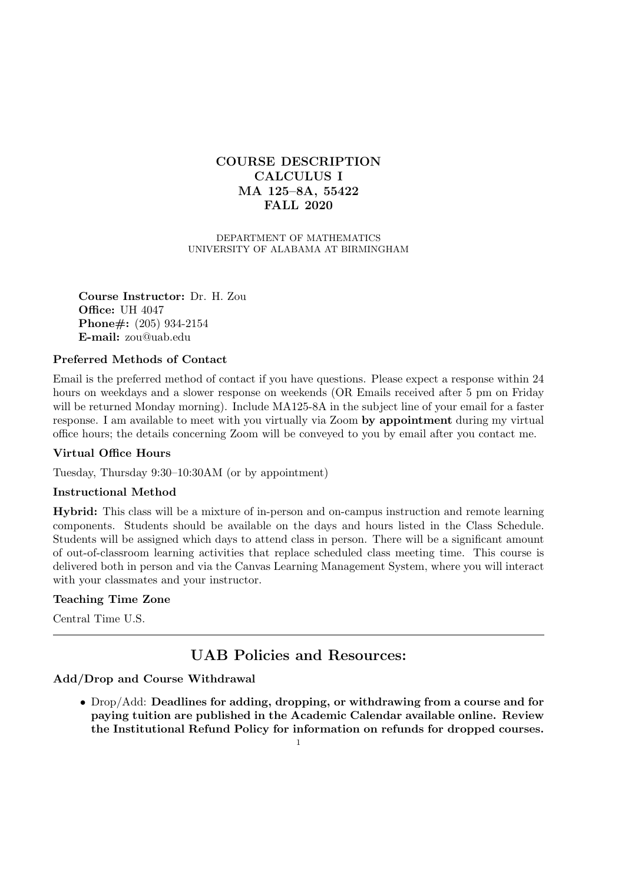# **COURSE DESCRIPTION CALCULUS I MA 125–8A, 55422 FALL 2020**

DEPARTMENT OF MATHEMATICS UNIVERSITY OF ALABAMA AT BIRMINGHAM

**Course Instructor:** Dr. H. Zou **Office:** UH 4047 **Phone#:** (205) 934-2154 **E-mail:** zou@uab.edu

### **Preferred Methods of Contact**

Email is the preferred method of contact if you have questions. Please expect a response within 24 hours on weekdays and a slower response on weekends (OR Emails received after 5 pm on Friday will be returned Monday morning). Include MA125-8A in the subject line of your email for a faster response. I am available to meet with you virtually via Zoom **by appointment** during my virtual office hours; the details concerning Zoom will be conveyed to you by email after you contact me.

### **Virtual Office Hours**

Tuesday, Thursday 9:30–10:30AM (or by appointment)

### **Instructional Method**

**Hybrid:** This class will be a mixture of in-person and on-campus instruction and remote learning components. Students should be available on the days and hours listed in the Class Schedule. Students will be assigned which days to attend class in person. There will be a significant amount of out-of-classroom learning activities that replace scheduled class meeting time. This course is delivered both in person and via the Canvas Learning Management System, where you will interact with your classmates and your instructor.

### **Teaching Time Zone**

Central Time U.S.

# **UAB Policies and Resources:**

### **Add/Drop and Course Withdrawal**

*•* Drop/Add: **Deadlines for adding, dropping, or withdrawing from a course and for paying tuition are published in the Academic Calendar available online. Review the Institutional Refund Policy for information on refunds for dropped courses.**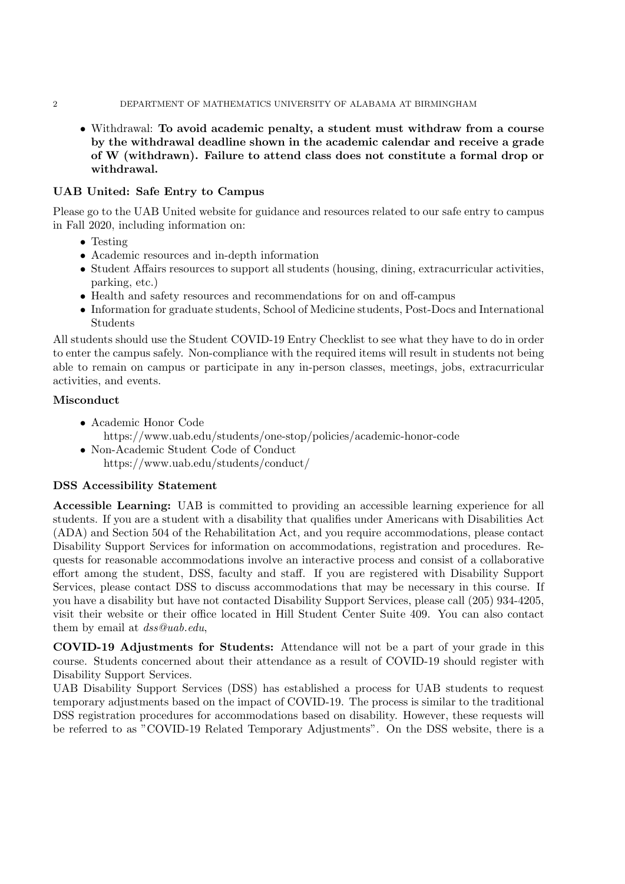#### 2 DEPARTMENT OF MATHEMATICS UNIVERSITY OF ALABAMA AT BIRMINGHAM

*•* Withdrawal: **To avoid academic penalty, a student must withdraw from a course by the withdrawal deadline shown in the academic calendar and receive a grade of W (withdrawn). Failure to attend class does not constitute a formal drop or withdrawal.**

### **UAB United: Safe Entry to Campus**

Please go to the UAB United website for guidance and resources related to our safe entry to campus in Fall 2020, including information on:

- *•* Testing
- Academic resources and in-depth information
- Student Affairs resources to support all students (housing, dining, extracurricular activities, parking, etc.)
- Health and safety resources and recommendations for on and off-campus
- Information for graduate students, School of Medicine students, Post-Docs and International Students

All students should use the Student COVID-19 Entry Checklist to see what they have to do in order to enter the campus safely. Non-compliance with the required items will result in students not being able to remain on campus or participate in any in-person classes, meetings, jobs, extracurricular activities, and events.

### **Misconduct**

- *•* Academic Honor Code
	- https://www.uab.edu/students/one-stop/policies/academic-honor-code
- *•* Non-Academic Student Code of Conduct https://www.uab.edu/students/conduct/

### **DSS Accessibility Statement**

**Accessible Learning:** UAB is committed to providing an accessible learning experience for all students. If you are a student with a disability that qualifies under Americans with Disabilities Act (ADA) and Section 504 of the Rehabilitation Act, and you require accommodations, please contact Disability Support Services for information on accommodations, registration and procedures. Requests for reasonable accommodations involve an interactive process and consist of a collaborative effort among the student, DSS, faculty and staff. If you are registered with Disability Support Services, please contact DSS to discuss accommodations that may be necessary in this course. If you have a disability but have not contacted Disability Support Services, please call (205) 934-4205, visit their website or their office located in Hill Student Center Suite 409. You can also contact them by email at *dss@uab.edu*,

**COVID-19 Adjustments for Students:** Attendance will not be a part of your grade in this course. Students concerned about their attendance as a result of COVID-19 should register with Disability Support Services.

UAB Disability Support Services (DSS) has established a process for UAB students to request temporary adjustments based on the impact of COVID-19. The process is similar to the traditional DSS registration procedures for accommodations based on disability. However, these requests will be referred to as "COVID-19 Related Temporary Adjustments". On the DSS website, there is a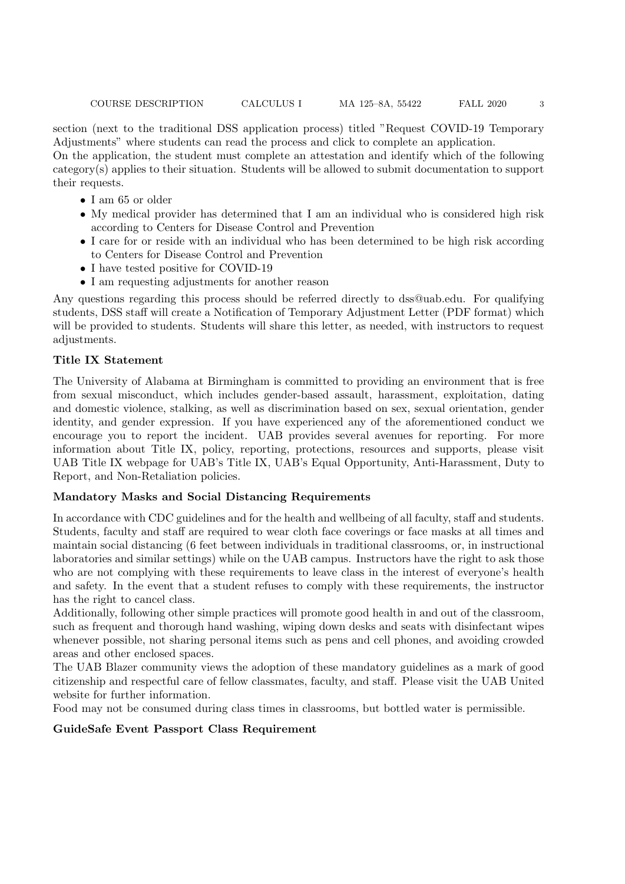section (next to the traditional DSS application process) titled "Request COVID-19 Temporary Adjustments" where students can read the process and click to complete an application.

On the application, the student must complete an attestation and identify which of the following category(s) applies to their situation. Students will be allowed to submit documentation to support their requests.

- *•* I am 65 or older
- My medical provider has determined that I am an individual who is considered high risk according to Centers for Disease Control and Prevention
- I care for or reside with an individual who has been determined to be high risk according to Centers for Disease Control and Prevention
- I have tested positive for COVID-19
- I am requesting adjustments for another reason

Any questions regarding this process should be referred directly to dss@uab.edu. For qualifying students, DSS staff will create a Notification of Temporary Adjustment Letter (PDF format) which will be provided to students. Students will share this letter, as needed, with instructors to request adjustments.

## **Title IX Statement**

The University of Alabama at Birmingham is committed to providing an environment that is free from sexual misconduct, which includes gender-based assault, harassment, exploitation, dating and domestic violence, stalking, as well as discrimination based on sex, sexual orientation, gender identity, and gender expression. If you have experienced any of the aforementioned conduct we encourage you to report the incident. UAB provides several avenues for reporting. For more information about Title IX, policy, reporting, protections, resources and supports, please visit UAB Title IX webpage for UAB's Title IX, UAB's Equal Opportunity, Anti-Harassment, Duty to Report, and Non-Retaliation policies.

### **Mandatory Masks and Social Distancing Requirements**

In accordance with CDC guidelines and for the health and wellbeing of all faculty, staff and students. Students, faculty and staff are required to wear cloth face coverings or face masks at all times and maintain social distancing (6 feet between individuals in traditional classrooms, or, in instructional laboratories and similar settings) while on the UAB campus. Instructors have the right to ask those who are not complying with these requirements to leave class in the interest of everyone's health and safety. In the event that a student refuses to comply with these requirements, the instructor has the right to cancel class.

Additionally, following other simple practices will promote good health in and out of the classroom, such as frequent and thorough hand washing, wiping down desks and seats with disinfectant wipes whenever possible, not sharing personal items such as pens and cell phones, and avoiding crowded areas and other enclosed spaces.

The UAB Blazer community views the adoption of these mandatory guidelines as a mark of good citizenship and respectful care of fellow classmates, faculty, and staff. Please visit the UAB United website for further information.

Food may not be consumed during class times in classrooms, but bottled water is permissible.

## **GuideSafe Event Passport Class Requirement**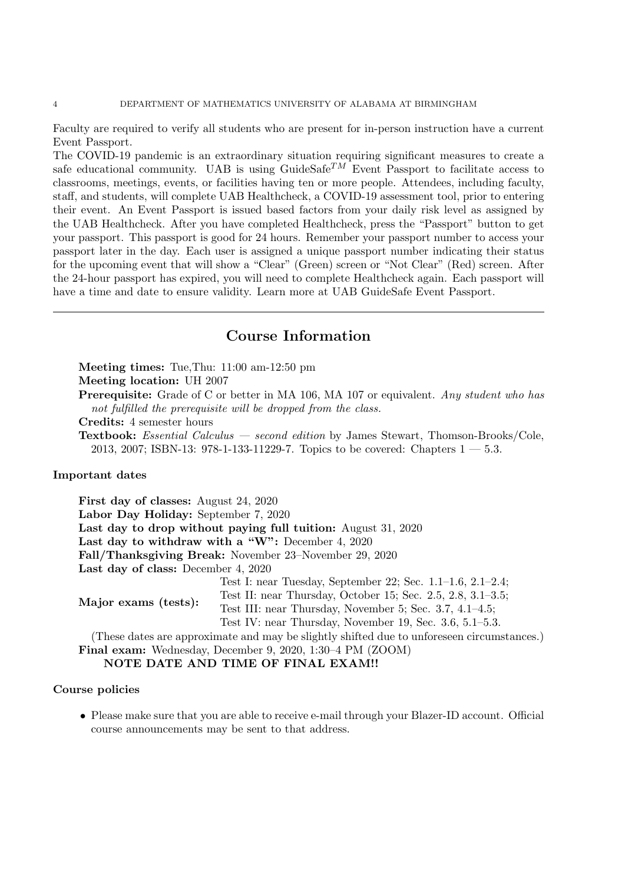Faculty are required to verify all students who are present for in-person instruction have a current Event Passport.

The COVID-19 pandemic is an extraordinary situation requiring significant measures to create a safe educational community. UAB is using  $\text{GuideSafe}^{TM}$  Event Passport to facilitate access to classrooms, meetings, events, or facilities having ten or more people. Attendees, including faculty, staff, and students, will complete UAB Healthcheck, a COVID-19 assessment tool, prior to entering their event. An Event Passport is issued based factors from your daily risk level as assigned by the UAB Healthcheck. After you have completed Healthcheck, press the "Passport" button to get your passport. This passport is good for 24 hours. Remember your passport number to access your passport later in the day. Each user is assigned a unique passport number indicating their status for the upcoming event that will show a "Clear" (Green) screen or "Not Clear" (Red) screen. After the 24-hour passport has expired, you will need to complete Healthcheck again. Each passport will have a time and date to ensure validity. Learn more at UAB GuideSafe Event Passport.

# **Course Information**

**Meeting times:** Tue,Thu: 11:00 am-12:50 pm

**Meeting location:** UH 2007

**Prerequisite:** Grade of C or better in MA 106, MA 107 or equivalent. *Any student who has not fulfilled the prerequisite will be dropped from the class.*

**Credits:** 4 semester hours

**Textbook:** *Essential Calculus — second edition* by James Stewart, Thomson-Brooks/Cole, 2013, 2007; ISBN-13: 978-1-133-11229-7. Topics to be covered: Chapters  $1 - 5.3$ .

### **Important dates**

**First day of classes:** August 24, 2020 **Labor Day Holiday:** September 7, 2020 **Last day to drop without paying full tuition:** August 31, 2020 **Last day to withdraw with a "W":** December 4, 2020 **Fall/Thanksgiving Break:** November 23–November 29, 2020 **Last day of class:** December 4, 2020 **Major exams (tests):** Test I: near Tuesday, September 22; Sec. 1.1–1.6, 2.1–2.4; Test II: near Thursday, October 15; Sec. 2.5, 2.8, 3.1–3.5; Test III: near Thursday, November 5; Sec. 3.7, 4.1–4.5; Test IV: near Thursday, November 19, Sec. 3.6, 5.1–5.3. (These dates are approximate and may be slightly shifted due to unforeseen circumstances.)

**Final exam:** Wednesday, December 9, 2020, 1:30–4 PM (ZOOM) **NOTE DATE AND TIME OF FINAL EXAM!!**

### **Course policies**

• Please make sure that you are able to receive e-mail through your Blazer-ID account. Official course announcements may be sent to that address.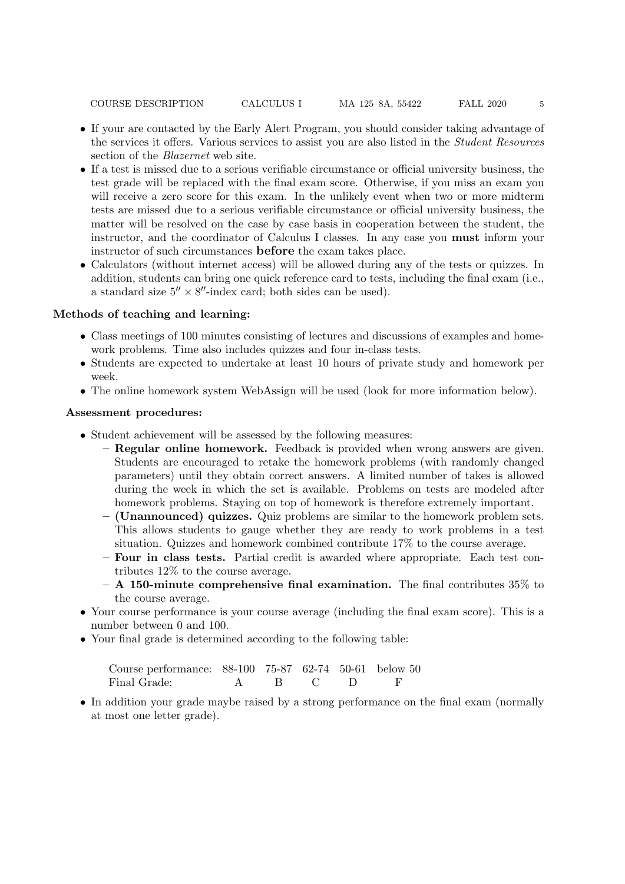COURSE DESCRIPTION CALCULUS I MA 125–8A, 55422 FALL 2020 5

- If your are contacted by the Early Alert Program, you should consider taking advantage of the services it offers. Various services to assist you are also listed in the *Student Resources* section of the *Blazernet* web site.
- *•* If a test is missed due to a serious verifiable circumstance or official university business, the test grade will be replaced with the final exam score. Otherwise, if you miss an exam you will receive a zero score for this exam. In the unlikely event when two or more midterm tests are missed due to a serious verifiable circumstance or official university business, the matter will be resolved on the case by case basis in cooperation between the student, the instructor, and the coordinator of Calculus I classes. In any case you **must** inform your instructor of such circumstances **before** the exam takes place.
- Calculators (without internet access) will be allowed during any of the tests or quizzes. In addition, students can bring one quick reference card to tests, including the final exam (i.e., a standard size 5*′′ ×* 8 *′′*-index card; both sides can be used).

### **Methods of teaching and learning:**

- Class meetings of 100 minutes consisting of lectures and discussions of examples and homework problems. Time also includes quizzes and four in-class tests.
- Students are expected to undertake at least 10 hours of private study and homework per week.
- The online homework system WebAssign will be used (look for more information below).

### **Assessment procedures:**

- Student achievement will be assessed by the following measures:
	- **– Regular online homework.** Feedback is provided when wrong answers are given. Students are encouraged to retake the homework problems (with randomly changed parameters) until they obtain correct answers. A limited number of takes is allowed during the week in which the set is available. Problems on tests are modeled after homework problems. Staying on top of homework is therefore extremely important.
	- **– (Unannounced) quizzes.** Quiz problems are similar to the homework problem sets. This allows students to gauge whether they are ready to work problems in a test situation. Quizzes and homework combined contribute 17% to the course average.
	- **– Four in class tests.** Partial credit is awarded where appropriate. Each test contributes 12% to the course average.
	- **– A 150-minute comprehensive final examination.** The final contributes 35% to the course average.
- Your course performance is your course average (including the final exam score). This is a number between 0 and 100.
- Your final grade is determined according to the following table:

| Course performance: 88-100 75-87 62-74 50-61 below 50 |           |  |  |
|-------------------------------------------------------|-----------|--|--|
| Final Grade:                                          | A B C D F |  |  |

• In addition your grade maybe raised by a strong performance on the final exam (normally at most one letter grade).